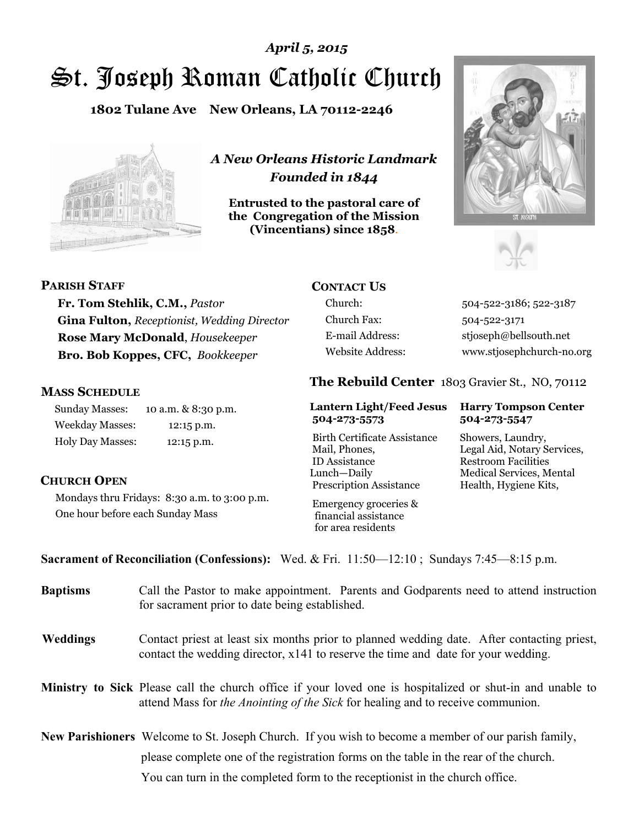# St. Joseph Roman Catholic Church *April 5, 2015*

**1802 Tulane Ave New Orleans, LA 70112-2246**



*A New Orleans Historic Landmark Founded in 1844* 

**Entrusted to the pastoral care of the Congregation of the Mission (Vincentians) since 1858**.





#### **PARISH STAFF**

**Fr. Tom Stehlik, C.M.,** *Pastor*  **Gina Fulton,** *Receptionist, Wedding Director* **Rose Mary McDonald**, *Housekeeper*  **Bro. Bob Koppes, CFC,** *Bookkeeper* 

#### **MASS SCHEDULE**

Sunday Masses: 10 a.m. & 8:30 p.m. Weekday Masses: 12:15 p.m. Holy Day Masses: 12:15 p.m.

## **CONTACT US**

Church Fax: 504-522-3171

Church: 504-522-3186; 522-3187 E-mail Address: stjoseph@bellsouth.net Website Address: www.stjosephchurch-no.org

#### **The Rebuild Center** 1803 Gravier St., NO, 70112

#### **Lantern Light/Feed Jesus Harry Tompson Center 504-273-5573 504-273-5547**

Birth Certificate Assistance Showers, Laundry, Mail, Phones, Legal Aid, Notary Services, ID Assistance Restroom Facilities Lunch—Daily Medical Services, Mental Prescription Assistance Health, Hygiene Kits,

#### **CHURCH OPEN**

Mondays thru Fridays: 8:30 a.m. to 3:00 p.m. One hour before each Sunday Mass

 Emergency groceries & financial assistance for area residents

**Sacrament of Reconciliation (Confessions):** Wed. & Fri. 11:50—12:10 ; Sundays 7:45—8:15 p.m.

| <b>Baptisms</b> | Call the Pastor to make appointment. Parents and Godparents need to attend instruction<br>for sacrament prior to date being established.                                                            |
|-----------------|-----------------------------------------------------------------------------------------------------------------------------------------------------------------------------------------------------|
| <b>Weddings</b> | Contact priest at least six months prior to planned wedding date. After contacting priest,<br>contact the wedding director, x141 to reserve the time and date for your wedding.                     |
|                 | Ministry to Sick Please call the church office if your loved one is hospitalized or shut-in and unable to<br>attend Mass for <i>the Anointing of the Sick</i> for healing and to receive communion. |
|                 | <b>New Parishioners</b> Welcome to St. Joseph Church. If you wish to become a member of our parish family,<br>please complete one of the registration forms on the table in the rear of the church. |
|                 | You can turn in the completed form to the reception ist in the church office.                                                                                                                       |